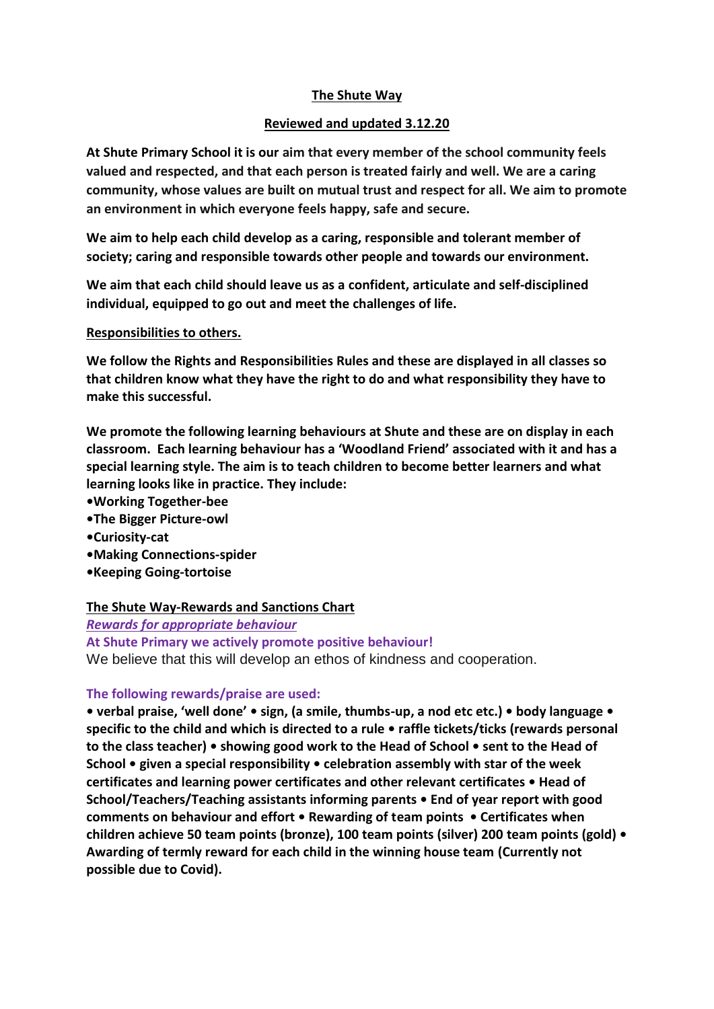#### **The Shute Way**

#### **Reviewed and updated 3.12.20**

**At Shute Primary School it is our aim that every member of the school community feels valued and respected, and that each person is treated fairly and well. We are a caring community, whose values are built on mutual trust and respect for all. We aim to promote an environment in which everyone feels happy, safe and secure.**

**We aim to help each child develop as a caring, responsible and tolerant member of society; caring and responsible towards other people and towards our environment.**

**We aim that each child should leave us as a confident, articulate and self-disciplined individual, equipped to go out and meet the challenges of life.**

#### **Responsibilities to others.**

**We follow the Rights and Responsibilities Rules and these are displayed in all classes so that children know what they have the right to do and what responsibility they have to make this successful.** 

**We promote the following learning behaviours at Shute and these are on display in each classroom. Each learning behaviour has a 'Woodland Friend' associated with it and has a special learning style. The aim is to teach children to become better learners and what learning looks like in practice. They include:**

- **•Working Together-bee**
- **•The Bigger Picture-owl**
- **•Curiosity-cat**
- **•Making Connections-spider**
- **•Keeping Going-tortoise**

#### **The Shute Way-Rewards and Sanctions Chart**

*Rewards for appropriate behaviour*

**At Shute Primary we actively promote positive behaviour!**  We believe that this will develop an ethos of kindness and cooperation.

#### **The following rewards/praise are used:**

**• verbal praise, 'well done' • sign, (a smile, thumbs-up, a nod etc etc.) • body language • specific to the child and which is directed to a rule • raffle tickets/ticks (rewards personal to the class teacher) • showing good work to the Head of School • sent to the Head of School • given a special responsibility • celebration assembly with star of the week certificates and learning power certificates and other relevant certificates • Head of School/Teachers/Teaching assistants informing parents • End of year report with good comments on behaviour and effort • Rewarding of team points • Certificates when children achieve 50 team points (bronze), 100 team points (silver) 200 team points (gold) • Awarding of termly reward for each child in the winning house team (Currently not possible due to Covid).**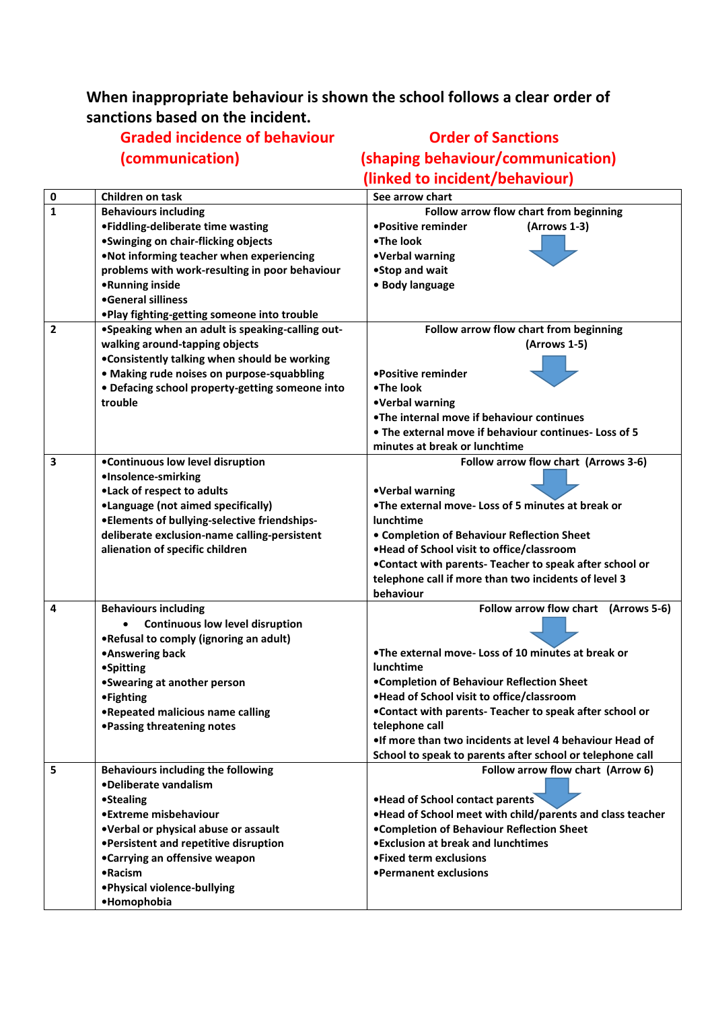### **When inappropriate behaviour is shown the school follows a clear order of sanctions based on the incident.**

# **Graded incidence of behaviour Canadian Conder of Sanctions**

## **(communication) (shaping behaviour/communication) (linked to incident/behaviour)**

| 0                       | Children on task                                 | See arrow chart                                            |
|-------------------------|--------------------------------------------------|------------------------------------------------------------|
| $\mathbf{1}$            | <b>Behaviours including</b>                      | Follow arrow flow chart from beginning                     |
|                         | •Fiddling-deliberate time wasting                | •Positive reminder<br>(Arrows 1-3)                         |
|                         | •Swinging on chair-flicking objects              | •The look                                                  |
|                         | .Not informing teacher when experiencing         | •Verbal warning                                            |
|                         | problems with work-resulting in poor behaviour   | •Stop and wait                                             |
|                         | •Running inside                                  | • Body language                                            |
|                         | •General silliness                               |                                                            |
|                         | .Play fighting-getting someone into trouble      |                                                            |
| $\overline{\mathbf{2}}$ | •Speaking when an adult is speaking-calling out- | Follow arrow flow chart from beginning                     |
|                         | walking around-tapping objects                   | (Arrows 1-5)                                               |
|                         | .Consistently talking when should be working     |                                                            |
|                         | · Making rude noises on purpose-squabbling       | •Positive reminder                                         |
|                         | • Defacing school property-getting someone into  | •The look                                                  |
|                         | trouble                                          | •Verbal warning                                            |
|                         |                                                  | .The internal move if behaviour continues                  |
|                         |                                                  | . The external move if behaviour continues- Loss of 5      |
|                         |                                                  | minutes at break or lunchtime                              |
| 3                       | •Continuous low level disruption                 | Follow arrow flow chart (Arrows 3-6)                       |
|                         | ·Insolence-smirking                              |                                                            |
|                         | .Lack of respect to adults                       | •Verbal warning                                            |
|                         | •Language (not aimed specifically)               | . The external move-Loss of 5 minutes at break or          |
|                         | •Elements of bullying-selective friendships-     | <b>lunchtime</b>                                           |
|                         | deliberate exclusion-name calling-persistent     | • Completion of Behaviour Reflection Sheet                 |
|                         | alienation of specific children                  | .Head of School visit to office/classroom                  |
|                         |                                                  | .Contact with parents- Teacher to speak after school or    |
|                         |                                                  | telephone call if more than two incidents of level 3       |
|                         |                                                  | behaviour                                                  |
| 4                       | <b>Behaviours including</b>                      | Follow arrow flow chart (Arrows 5-6)                       |
|                         | <b>Continuous low level disruption</b>           |                                                            |
|                         | .Refusal to comply (ignoring an adult)           |                                                            |
|                         | •Answering back                                  | . The external move-Loss of 10 minutes at break or         |
|                         | <b>•Spitting</b>                                 | <b>lunchtime</b>                                           |
|                         | •Swearing at another person                      | •Completion of Behaviour Reflection Sheet                  |
|                         | <b>•Fighting</b>                                 | .Head of School visit to office/classroom                  |
|                         | .Repeated malicious name calling                 | .Contact with parents- Teacher to speak after school or    |
|                         | • Passing threatening notes                      | telephone call                                             |
|                         |                                                  | . If more than two incidents at level 4 behaviour Head of  |
|                         |                                                  | School to speak to parents after school or telephone call  |
| 5                       | <b>Behaviours including the following</b>        | Follow arrow flow chart (Arrow 6)                          |
|                         | •Deliberate vandalism                            |                                                            |
|                         | •Stealing                                        | . Head of School contact parents                           |
|                         | •Extreme misbehaviour                            | . Head of School meet with child/parents and class teacher |
|                         | .Verbal or physical abuse or assault             | •Completion of Behaviour Reflection Sheet                  |
|                         | •Persistent and repetitive disruption            | • Exclusion at break and lunchtimes                        |
|                         | •Carrying an offensive weapon                    | • Fixed term exclusions                                    |
|                         | •Racism                                          | •Permanent exclusions                                      |
|                         | . Physical violence-bullying                     |                                                            |
|                         | ·Homophobia                                      |                                                            |